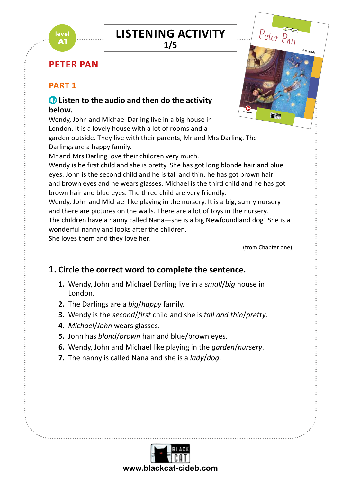#### **LISTENING ACTIVITY** Join Wendy, John and Michael as they fly off to Neverland with Peter Pan,  $\overline{\mathsf{CTIVITY}}$

**1/5**

KEY-style activities and Trinity-style activities (Grades 1 and 2)

Full recording of the text

# **PETER PAN**

## **PART 1**

level А1

# Listen to the audio and then do the activity **below.**

Wendy, John and Michael Darling live in a big house in London. It is a lovely house with a lot of rooms and a garden outside. They live with their parents, Mr and Mrs Darling. The

Darlings are a happy family.

Mr and Mrs Darling love their children very much.

Wendy is he first child and she is pretty. She has got long blonde hair and blue eyes. John is the second child and he is tall and thin. he has got brown hair and brown eyes and he wears glasses. Michael is the third child and he has got brown hair and blue eyes. The three child are very friendly.

Wendy, John and Michael like playing in the nursery. It is a big, sunny nursery and there are pictures on the walls. There are a lot of toys in the nursery.

The children have a nanny called Nana—she is a big Newfoundland dog! She is a wonderful nanny and looks after the children.

She loves them and they love her.

(from Chapter one)

**A1 Peter Pan**

*free* **Audiobook**

 $\overline{\phantom{a}}$ 

Peter Pan

J. M. Barrie

### **1. Circle the correct word to complete the sentence.**

- **1.** Wendy, John and Michael Darling live in a *small*/*big* house in London.
- **2.** The Darlings are a *big*/*happy* family.
- **3.** Wendy is the *second*/*first* child and she is *tall and thin*/*pretty*.
- **4.** *Michael*/*John* wears glasses.
- **5.** John has *blond*/*brown* hair and blue/brown eyes.
- **6.** Wendy, John and Michael like playing in the *garden*/*nursery*.
- **7.** The nanny is called Nana and she is a *lady*/*dog*.

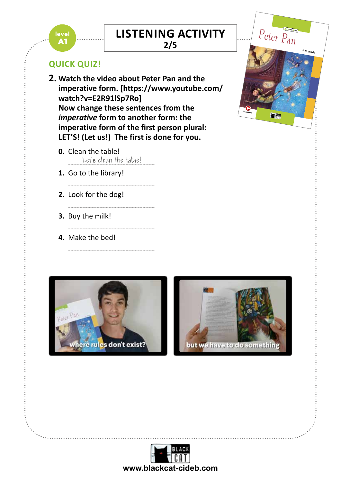# **LISTENING ACTIVITY**  $\overline{\mathsf{CTIVITY}}$

KEY-style activities and Trinity-style activities (Grades 1 and 2)

Full recording of the text

**2/5**

## **QUICK QUIZ!**

level **A1** 

- J. M. Barrie  $\overline{\phantom{a}}$ Peter PaN 2. Watch the video about Peter Pan and the **Step 2** CEFR **A2/B1** Word count: **4,909 imperative form. [https://www.youtube.com/** Now change these sentences from the **watch?v=E2R91lSp7Ro]**  *imperative* **form to another form: the imperative form of the first person plural: LET'S! (Let us!) The first is done for you.**
	- **0.** Clean the table! Let's clean the table!

.....................................................................................................................

.....................................................................................................................

.....................................................................................................................

.....................................................................................................................

- **1.** Go to the library!
- **2.** Look for the dog!
- **3.** Buy the milk!
- **4.** Make the bed!